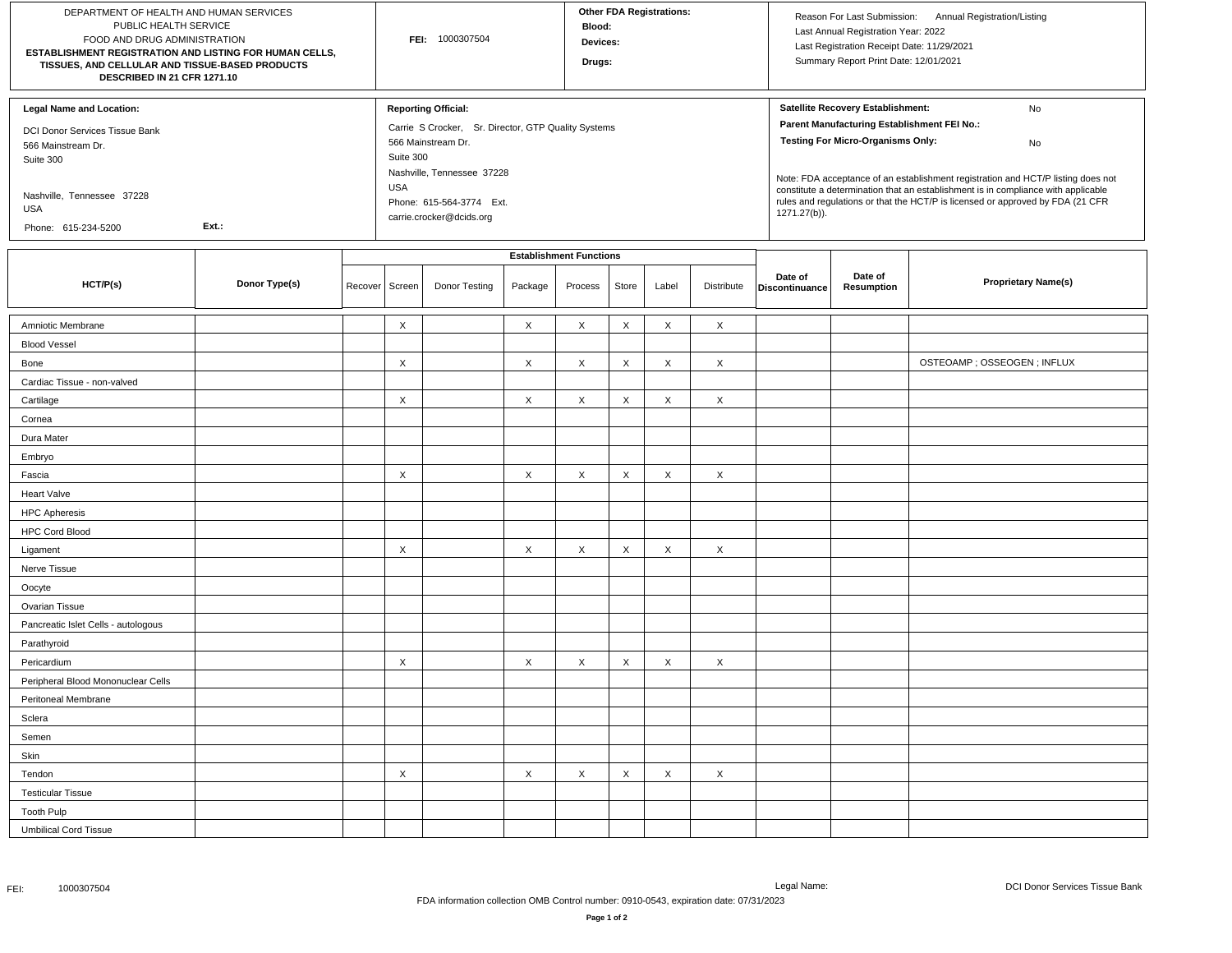| DEPARTMENT OF HEALTH AND HUMAN SERVICES<br>PUBLIC HEALTH SERVICE<br>FOOD AND DRUG ADMINISTRATION<br>ESTABLISHMENT REGISTRATION AND LISTING FOR HUMAN CELLS,<br>TISSUES, AND CELLULAR AND TISSUE-BASED PRODUCTS<br>DESCRIBED IN 21 CFR 1271.10 |               |         | FEI: 1000307504                |                                                                                                                                                                                                                          |         |         | <b>Other FDA Registrations:</b><br>Blood:<br>Devices:<br>Drugs: |       |                           |                                                                                                                                                                                                                                                                                                                                                                                                                     | Reason For Last Submission: Annual Registration/Listing<br>Last Annual Registration Year: 2022<br>Last Registration Receipt Date: 11/29/2021<br>Summary Report Print Date: 12/01/2021 |                              |  |
|-----------------------------------------------------------------------------------------------------------------------------------------------------------------------------------------------------------------------------------------------|---------------|---------|--------------------------------|--------------------------------------------------------------------------------------------------------------------------------------------------------------------------------------------------------------------------|---------|---------|-----------------------------------------------------------------|-------|---------------------------|---------------------------------------------------------------------------------------------------------------------------------------------------------------------------------------------------------------------------------------------------------------------------------------------------------------------------------------------------------------------------------------------------------------------|---------------------------------------------------------------------------------------------------------------------------------------------------------------------------------------|------------------------------|--|
| <b>Legal Name and Location:</b><br>DCI Donor Services Tissue Bank<br>566 Mainstream Dr.<br>Suite 300<br>Nashville, Tennessee 37228<br>USA<br>Ext.:<br>Phone: 615-234-5200                                                                     |               |         |                                | <b>Reporting Official:</b><br>Carrie S Crocker, Sr. Director, GTP Quality Systems<br>566 Mainstream Dr.<br>Suite 300<br>Nashville, Tennessee 37228<br><b>USA</b><br>Phone: 615-564-3774 Ext.<br>carrie.crocker@dcids.org |         |         |                                                                 |       |                           | Satellite Recovery Establishment:<br>No<br>Parent Manufacturing Establishment FEI No.:<br><b>Testing For Micro-Organisms Only:</b><br>No<br>Note: FDA acceptance of an establishment registration and HCT/P listing does not<br>constitute a determination that an establishment is in compliance with applicable<br>rules and regulations or that the HCT/P is licensed or approved by FDA (21 CFR<br>1271.27(b)). |                                                                                                                                                                                       |                              |  |
|                                                                                                                                                                                                                                               |               |         | <b>Establishment Functions</b> |                                                                                                                                                                                                                          |         |         |                                                                 |       |                           |                                                                                                                                                                                                                                                                                                                                                                                                                     |                                                                                                                                                                                       |                              |  |
| HCT/P(s)                                                                                                                                                                                                                                      | Donor Type(s) | Recover | Screen                         | Donor Testing                                                                                                                                                                                                            | Package | Process | Store                                                           | Label | Distribute                | Date of<br>Discontinuance                                                                                                                                                                                                                                                                                                                                                                                           | Date of<br><b>Resumption</b>                                                                                                                                                          | <b>Proprietary Name(s)</b>   |  |
| Amniotic Membrane                                                                                                                                                                                                                             |               |         | X                              |                                                                                                                                                                                                                          | X       | X       | X                                                               | X     | $\times$                  |                                                                                                                                                                                                                                                                                                                                                                                                                     |                                                                                                                                                                                       |                              |  |
| <b>Blood Vessel</b>                                                                                                                                                                                                                           |               |         |                                |                                                                                                                                                                                                                          |         |         |                                                                 |       |                           |                                                                                                                                                                                                                                                                                                                                                                                                                     |                                                                                                                                                                                       |                              |  |
| Bone                                                                                                                                                                                                                                          |               |         | X                              |                                                                                                                                                                                                                          | X       | X       | X                                                               | X     | $\times$                  |                                                                                                                                                                                                                                                                                                                                                                                                                     |                                                                                                                                                                                       | OSTEOAMP ; OSSEOGEN ; INFLUX |  |
| Cardiac Tissue - non-valved                                                                                                                                                                                                                   |               |         |                                |                                                                                                                                                                                                                          |         |         |                                                                 |       |                           |                                                                                                                                                                                                                                                                                                                                                                                                                     |                                                                                                                                                                                       |                              |  |
| Cartilage                                                                                                                                                                                                                                     |               |         | X                              |                                                                                                                                                                                                                          | X       | X       | X                                                               | X     | $\times$                  |                                                                                                                                                                                                                                                                                                                                                                                                                     |                                                                                                                                                                                       |                              |  |
| Cornea                                                                                                                                                                                                                                        |               |         |                                |                                                                                                                                                                                                                          |         |         |                                                                 |       |                           |                                                                                                                                                                                                                                                                                                                                                                                                                     |                                                                                                                                                                                       |                              |  |
| Dura Mater                                                                                                                                                                                                                                    |               |         |                                |                                                                                                                                                                                                                          |         |         |                                                                 |       |                           |                                                                                                                                                                                                                                                                                                                                                                                                                     |                                                                                                                                                                                       |                              |  |
| Embryo                                                                                                                                                                                                                                        |               |         |                                |                                                                                                                                                                                                                          |         |         |                                                                 |       |                           |                                                                                                                                                                                                                                                                                                                                                                                                                     |                                                                                                                                                                                       |                              |  |
| Fascia                                                                                                                                                                                                                                        |               |         | X                              |                                                                                                                                                                                                                          | X       | X       | X                                                               | X     | $\times$                  |                                                                                                                                                                                                                                                                                                                                                                                                                     |                                                                                                                                                                                       |                              |  |
| Heart Valve                                                                                                                                                                                                                                   |               |         |                                |                                                                                                                                                                                                                          |         |         |                                                                 |       |                           |                                                                                                                                                                                                                                                                                                                                                                                                                     |                                                                                                                                                                                       |                              |  |
| <b>HPC Apheresis</b>                                                                                                                                                                                                                          |               |         |                                |                                                                                                                                                                                                                          |         |         |                                                                 |       |                           |                                                                                                                                                                                                                                                                                                                                                                                                                     |                                                                                                                                                                                       |                              |  |
| <b>HPC Cord Blood</b>                                                                                                                                                                                                                         |               |         |                                |                                                                                                                                                                                                                          |         |         |                                                                 |       |                           |                                                                                                                                                                                                                                                                                                                                                                                                                     |                                                                                                                                                                                       |                              |  |
| Ligament                                                                                                                                                                                                                                      |               |         | X                              |                                                                                                                                                                                                                          | X       | X       | X                                                               | X     | $\times$                  |                                                                                                                                                                                                                                                                                                                                                                                                                     |                                                                                                                                                                                       |                              |  |
| Nerve Tissue                                                                                                                                                                                                                                  |               |         |                                |                                                                                                                                                                                                                          |         |         |                                                                 |       |                           |                                                                                                                                                                                                                                                                                                                                                                                                                     |                                                                                                                                                                                       |                              |  |
| Oocyte                                                                                                                                                                                                                                        |               |         |                                |                                                                                                                                                                                                                          |         |         |                                                                 |       |                           |                                                                                                                                                                                                                                                                                                                                                                                                                     |                                                                                                                                                                                       |                              |  |
| Ovarian Tissue                                                                                                                                                                                                                                |               |         |                                |                                                                                                                                                                                                                          |         |         |                                                                 |       |                           |                                                                                                                                                                                                                                                                                                                                                                                                                     |                                                                                                                                                                                       |                              |  |
| Pancreatic Islet Cells - autologous                                                                                                                                                                                                           |               |         |                                |                                                                                                                                                                                                                          |         |         |                                                                 |       |                           |                                                                                                                                                                                                                                                                                                                                                                                                                     |                                                                                                                                                                                       |                              |  |
| Parathyroid                                                                                                                                                                                                                                   |               |         |                                |                                                                                                                                                                                                                          |         |         |                                                                 |       |                           |                                                                                                                                                                                                                                                                                                                                                                                                                     |                                                                                                                                                                                       |                              |  |
| Pericardium                                                                                                                                                                                                                                   |               |         | X                              |                                                                                                                                                                                                                          | X       | X       | X                                                               | X     | $\times$                  |                                                                                                                                                                                                                                                                                                                                                                                                                     |                                                                                                                                                                                       |                              |  |
| Peripheral Blood Mononuclear Cells                                                                                                                                                                                                            |               |         |                                |                                                                                                                                                                                                                          |         |         |                                                                 |       |                           |                                                                                                                                                                                                                                                                                                                                                                                                                     |                                                                                                                                                                                       |                              |  |
| Peritoneal Membrane                                                                                                                                                                                                                           |               |         |                                |                                                                                                                                                                                                                          |         |         |                                                                 |       |                           |                                                                                                                                                                                                                                                                                                                                                                                                                     |                                                                                                                                                                                       |                              |  |
| Sclera                                                                                                                                                                                                                                        |               |         |                                |                                                                                                                                                                                                                          |         |         |                                                                 |       |                           |                                                                                                                                                                                                                                                                                                                                                                                                                     |                                                                                                                                                                                       |                              |  |
| Semen                                                                                                                                                                                                                                         |               |         |                                |                                                                                                                                                                                                                          |         |         |                                                                 |       |                           |                                                                                                                                                                                                                                                                                                                                                                                                                     |                                                                                                                                                                                       |                              |  |
| Skin                                                                                                                                                                                                                                          |               |         |                                |                                                                                                                                                                                                                          |         |         |                                                                 |       |                           |                                                                                                                                                                                                                                                                                                                                                                                                                     |                                                                                                                                                                                       |                              |  |
| Tendon                                                                                                                                                                                                                                        |               |         | X                              |                                                                                                                                                                                                                          | X       | X       | Χ                                                               | X     | $\boldsymbol{\mathsf{X}}$ |                                                                                                                                                                                                                                                                                                                                                                                                                     |                                                                                                                                                                                       |                              |  |
| <b>Testicular Tissue</b>                                                                                                                                                                                                                      |               |         |                                |                                                                                                                                                                                                                          |         |         |                                                                 |       |                           |                                                                                                                                                                                                                                                                                                                                                                                                                     |                                                                                                                                                                                       |                              |  |
| <b>Tooth Pulp</b>                                                                                                                                                                                                                             |               |         |                                |                                                                                                                                                                                                                          |         |         |                                                                 |       |                           |                                                                                                                                                                                                                                                                                                                                                                                                                     |                                                                                                                                                                                       |                              |  |
| <b>Umbilical Cord Tissue</b>                                                                                                                                                                                                                  |               |         |                                |                                                                                                                                                                                                                          |         |         |                                                                 |       |                           |                                                                                                                                                                                                                                                                                                                                                                                                                     |                                                                                                                                                                                       |                              |  |